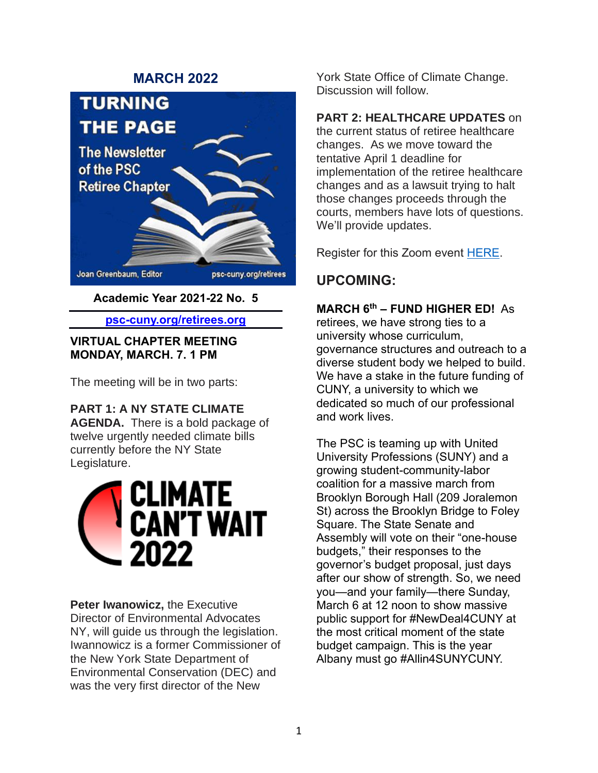## **MARCH 2022**



**Academic Year 2021-22 No. 5**

#### **psc-cuny.org/retirees.org**

#### **VIRTUAL CHAPTER MEETING MONDAY, MARCH. 7. 1 PM**

The meeting will be in two parts:

**PART 1: A NY STATE CLIMATE** 

**AGENDA.** There is a bold package of twelve urgently needed climate bills currently before the NY State Legislature.



**Peter Iwanowicz,** the Executive Director of Environmental Advocates NY, will guide us through the legislation. Iwannowicz is a former Commissioner of the New York State Department of Environmental Conservation (DEC) and was the very first director of the New

York State Office of Climate Change. Discussion will follow.

### **PART 2: HEALTHCARE UPDATES** on

the current status of retiree healthcare changes. As we move toward the tentative April 1 deadline for implementation of the retiree healthcare changes and as a lawsuit trying to halt those changes proceeds through the courts, members have lots of questions. We'll provide updates.

Register for this Zoom event [HERE.](https://us02web.zoom.us/meeting/register/tZcuf-ippjgsGtbTdw2O4pmVUmO1pO_9KkFt)

# **UPCOMING:**

### **MARCH 6th – FUND HIGHER ED!** As

retirees, we have strong ties to a university whose curriculum, governance structures and outreach to a diverse student body we helped to build. We have a stake in the future funding of CUNY, a university to which we dedicated so much of our professional and work lives.

The PSC is teaming up with United University Professions (SUNY) and a growing student-community-labor coalition for a massive march from Brooklyn Borough Hall (209 Joralemon St) across the Brooklyn Bridge to Foley Square. The State Senate and Assembly will vote on their "one-house budgets," their responses to the governor's budget proposal, just days after our show of strength. So, we need you—and your family—there Sunday, March 6 at 12 noon to show massive public support for #NewDeal4CUNY at the most critical moment of the state budget campaign. This is the year Albany must go #Allin4SUNYCUNY.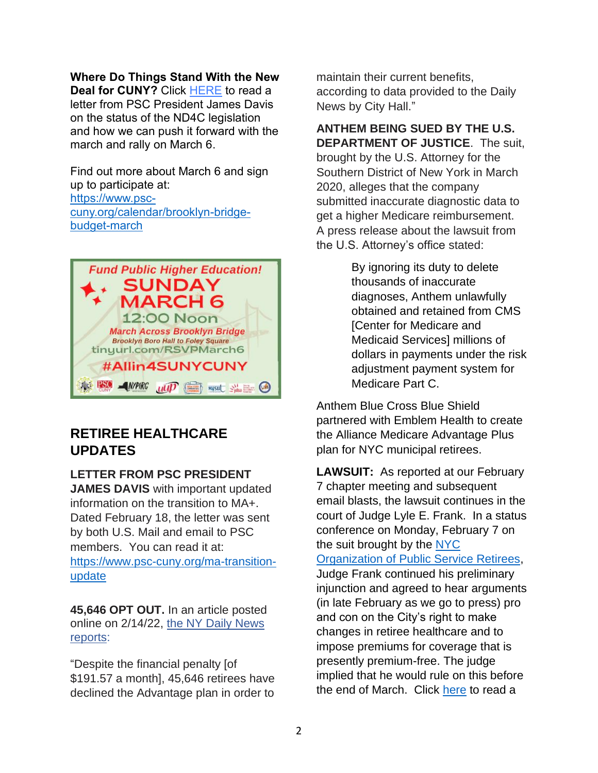#### **Where Do Things Stand With the New**

**Deal for CUNY?** Click [HERE](https://r20.rs6.net/tn.jsp?f=001dwLNnZGRH5ljlnpq00GuYCAjHygF4aEjiq8Z8yOLRcFjvgtNi_NtXxYNJQhxGoqkOVA1127nacIqBig6ZQ6auIg4GDybJz58h2R89kIettdNa7sz0QQ9otY7GND0c3cHm-FtIMjkQvjn1aAKtel9FidPLp89I36IjejYWA1L9Me5ESImK5sYBDz9fRZUZKsui7OkDAwUb9I=&c=90s2SUuDAo9LJrXLDeGH_7c9WoCaODL9j89_QRiyMTukAXow-HBGLg==&ch=McxfXOBxZMoyTZoJCc7sI5X8--j1VIfqd9HHC3ruDw6F_OMNe5iGQA==) to read a letter from PSC President James Davis on the status of the ND4C legislation and how we can push it forward with the march and rally on March 6.

Find out more about March 6 and sign up to participate at: [https://www.psc](https://www.psc-cuny.org/calendar/brooklyn-bridge-budget-march)[cuny.org/calendar/brooklyn-bridge](https://www.psc-cuny.org/calendar/brooklyn-bridge-budget-march)[budget-march](https://www.psc-cuny.org/calendar/brooklyn-bridge-budget-march)



## **RETIREE HEALTHCARE UPDATES**

#### **LETTER FROM PSC PRESIDENT**

**JAMES DAVIS** with important updated information on the transition to MA+. Dated February 18, the letter was sent by both U.S. Mail and email to PSC members. You can read it at: [https://www.psc-cuny.org/ma-transition](https://www.psc-cuny.org/ma-transition-update)[update](https://www.psc-cuny.org/ma-transition-update)

**45,646 OPT OUT.** In an article posted online on 2/14/22, [the NY Daily News](https://www.nydailynews.com/news/politics/new-york-elections-government/ny-nyc-retirees-medicare-plan-insurance-decision-20220214-msftkx7qs5g4vehntub7rmvd5q-story.html)  [reports:](https://www.nydailynews.com/news/politics/new-york-elections-government/ny-nyc-retirees-medicare-plan-insurance-decision-20220214-msftkx7qs5g4vehntub7rmvd5q-story.html)

"Despite the financial penalty [of \$191.57 a month], 45,646 retirees have declined the Advantage plan in order to

maintain their current benefits, according to data provided to the Daily News by City Hall."

**ANTHEM BEING SUED BY THE U.S. DEPARTMENT OF JUSTICE**. The suit, brought by the U.S. Attorney for the Southern District of New York in March 2020, alleges that the company submitted inaccurate diagnostic data to get a higher Medicare reimbursement. A press release about the lawsuit from the U.S. Attorney's office stated:

> By ignoring its duty to delete thousands of inaccurate diagnoses, Anthem unlawfully obtained and retained from CMS **[Center for Medicare and** Medicaid Services] millions of dollars in payments under the risk adjustment payment system for Medicare Part C.

Anthem Blue Cross Blue Shield partnered with Emblem Health to create the Alliance Medicare Advantage Plus plan for NYC municipal retirees.

**LAWSUIT:** As reported at our February 7 chapter meeting and subsequent email blasts, the lawsuit continues in the court of Judge Lyle E. Frank. In a status conference on Monday, February 7 on the suit brought by the [NYC](https://nycretirees.org/)  [Organization of Public Service Retirees,](https://nycretirees.org/) Judge Frank continued his preliminary injunction and agreed to hear arguments (in late February as we go to press) pro and con on the City's right to make changes in retiree healthcare and to impose premiums for coverage that is presently premium-free. The judge implied that he would rule on this before the end of March. Click [here](https://iapps.courts.state.ny.us/nyscef/ViewDocument?docIndex=fUVNgiuC3ZfNuaoIBtKjsw==) to read a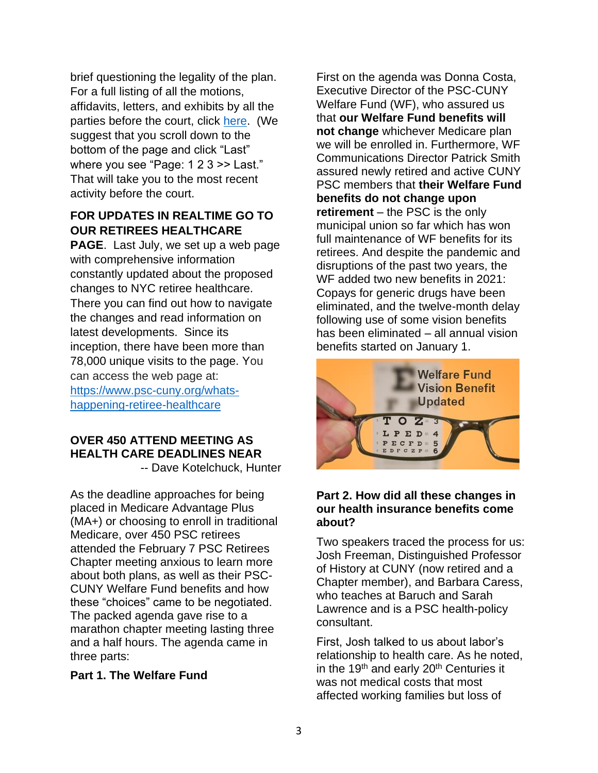brief questioning the legality of the plan. For a full listing of all the motions, affidavits, letters, and exhibits by all the parties before the court, click [here.](https://iapps.courts.state.ny.us/nyscef/DocumentList?docketId=BMh4Q5TKcmSpfW6lzB3JYg==&display=all) (We suggest that you scroll down to the bottom of the page and click "Last" where you see "Page: 1 2 3 > Last." That will take you to the most recent activity before the court.

### **FOR UPDATES IN REALTIME GO TO OUR RETIREES HEALTHCARE**

**PAGE**. Last July, we set up a web page with comprehensive information constantly updated about the proposed changes to NYC retiree healthcare. There you can find out how to navigate the changes and read information on latest developments. Since its inception, there have been more than 78,000 unique visits to the page. You can access the web page at: [https://www.psc-cuny.org/whats](https://www.psc-cuny.org/whats-happening-retiree-healthcare)[happening-retiree-healthcare](https://www.psc-cuny.org/whats-happening-retiree-healthcare)

#### **OVER 450 ATTEND MEETING AS HEALTH CARE DEADLINES NEAR** -- Dave Kotelchuck, Hunter

As the deadline approaches for being placed in Medicare Advantage Plus (MA+) or choosing to enroll in traditional Medicare, over 450 PSC retirees attended the February 7 PSC Retirees Chapter meeting anxious to learn more about both plans, as well as their PSC-CUNY Welfare Fund benefits and how these "choices" came to be negotiated. The packed agenda gave rise to a marathon chapter meeting lasting three and a half hours. The agenda came in three parts:

#### **Part 1. The Welfare Fund**

First on the agenda was Donna Costa, Executive Director of the PSC-CUNY Welfare Fund (WF), who assured us that **our Welfare Fund benefits will not change** whichever Medicare plan we will be enrolled in. Furthermore, WF Communications Director Patrick Smith assured newly retired and active CUNY PSC members that **their Welfare Fund benefits do not change upon retirement** – the PSC is the only municipal union so far which has won full maintenance of WF benefits for its retirees. And despite the pandemic and disruptions of the past two years, the WF added two new benefits in 2021: Copays for generic drugs have been eliminated, and the twelve-month delay following use of some vision benefits has been eliminated – all annual vision benefits started on January 1.



### **Part 2. How did all these changes in our health insurance benefits come about?**

Two speakers traced the process for us: Josh Freeman, Distinguished Professor of History at CUNY (now retired and a Chapter member), and Barbara Caress, who teaches at Baruch and Sarah Lawrence and is a PSC health-policy consultant.

First, Josh talked to us about labor's relationship to health care. As he noted, in the 19<sup>th</sup> and early 20<sup>th</sup> Centuries it was not medical costs that most affected working families but loss of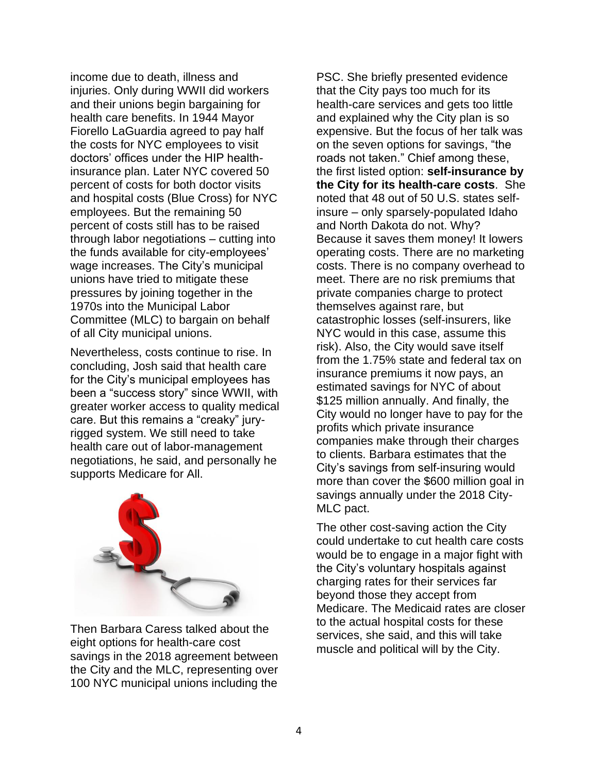income due to death, illness and injuries. Only during WWII did workers and their unions begin bargaining for health care benefits. In 1944 Mayor Fiorello LaGuardia agreed to pay half the costs for NYC employees to visit doctors' offices under the HIP healthinsurance plan. Later NYC covered 50 percent of costs for both doctor visits and hospital costs (Blue Cross) for NYC employees. But the remaining 50 percent of costs still has to be raised through labor negotiations – cutting into the funds available for city-employees' wage increases. The City's municipal unions have tried to mitigate these pressures by joining together in the 1970s into the Municipal Labor Committee (MLC) to bargain on behalf of all City municipal unions.

Nevertheless, costs continue to rise. In concluding, Josh said that health care for the City's municipal employees has been a "success story" since WWII, with greater worker access to quality medical care. But this remains a "creaky" juryrigged system. We still need to take health care out of labor-management negotiations, he said, and personally he supports Medicare for All.



Then Barbara Caress talked about the eight options for health-care cost savings in the 2018 agreement between the City and the MLC, representing over 100 NYC municipal unions including the

PSC. She briefly presented evidence that the City pays too much for its health-care services and gets too little and explained why the City plan is so expensive. But the focus of her talk was on the seven options for savings, "the roads not taken." Chief among these, the first listed option: **self-insurance by the City for its health-care costs**. She noted that 48 out of 50 U.S. states selfinsure – only sparsely-populated Idaho and North Dakota do not. Why? Because it saves them money! It lowers operating costs. There are no marketing costs. There is no company overhead to meet. There are no risk premiums that private companies charge to protect themselves against rare, but catastrophic losses (self-insurers, like NYC would in this case, assume this risk). Also, the City would save itself from the 1.75% state and federal tax on insurance premiums it now pays, an estimated savings for NYC of about \$125 million annually. And finally, the City would no longer have to pay for the profits which private insurance companies make through their charges to clients. Barbara estimates that the City's savings from self-insuring would more than cover the \$600 million goal in savings annually under the 2018 City-MLC pact.

The other cost-saving action the City could undertake to cut health care costs would be to engage in a major fight with the City's voluntary hospitals against charging rates for their services far beyond those they accept from Medicare. The Medicaid rates are closer to the actual hospital costs for these services, she said, and this will take muscle and political will by the City.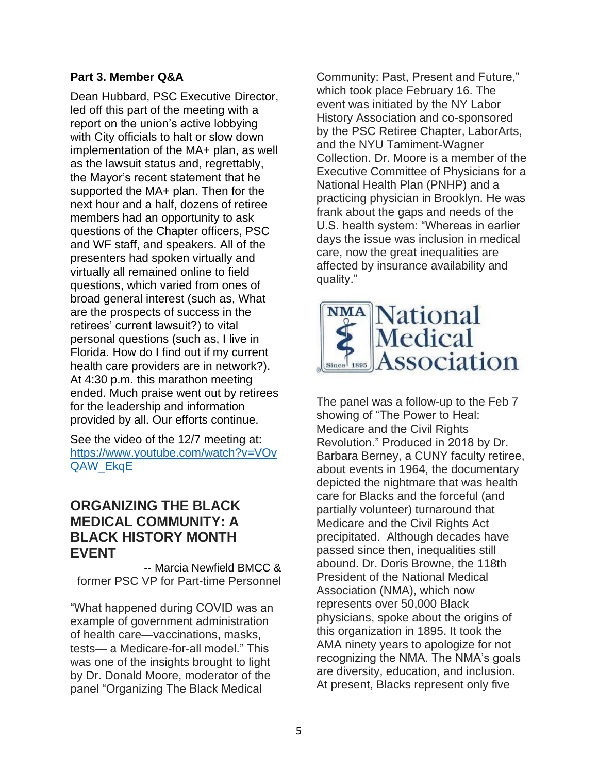### **Part 3. Member Q&A**

Dean Hubbard, PSC Executive Director, led off this part of the meeting with a report on the union's active lobbying with City officials to halt or slow down implementation of the MA+ plan, as well as the lawsuit status and, regrettably, the Mayor's recent statement that he supported the MA+ plan. Then for the next hour and a half, dozens of retiree members had an opportunity to ask questions of the Chapter officers, PSC and WF staff, and speakers. All of the presenters had spoken virtually and virtually all remained online to field questions, which varied from ones of broad general interest (such as, What are the prospects of success in the retirees' current lawsuit?) to vital personal questions (such as, I live in Florida. How do I find out if my current health care providers are in network?). At 4:30 p.m. this marathon meeting ended. Much praise went out by retirees for the leadership and information provided by all. Our efforts continue.

See the video of the 12/7 meeting at: [https://www.youtube.com/watch?v=VOv](https://www.youtube.com/watch?v=VOvQAW_EkqE) [QAW\\_EkqE](https://www.youtube.com/watch?v=VOvQAW_EkqE)

## **ORGANIZING THE BLACK MEDICAL COMMUNITY: A BLACK HISTORY MONTH EVENT**

-- Marcia Newfield BMCC & former PSC VP for Part-time Personnel

"What happened during COVID was an example of government administration of health care—vaccinations, masks, tests— a Medicare-for-all model." This was one of the insights brought to light by Dr. Donald Moore, moderator of the panel "Organizing The Black Medical

Community: Past, Present and Future," which took place February 16. The event was initiated by the NY Labor History Association and co-sponsored by the PSC Retiree Chapter, LaborArts, and the NYU Tamiment-Wagner Collection. Dr. Moore is a member of the Executive Committee of Physicians for a National Health Plan (PNHP) and a practicing physician in Brooklyn. He was frank about the gaps and needs of the U.S. health system: "Whereas in earlier days the issue was inclusion in medical care, now the great inequalities are affected by insurance availability and quality."



The panel was a follow-up to the Feb 7 showing of "The Power to Heal: Medicare and the Civil Rights Revolution." Produced in 2018 by Dr. Barbara Berney, a CUNY faculty retiree, about events in 1964, the documentary depicted the nightmare that was health care for Blacks and the forceful (and partially volunteer) turnaround that Medicare and the Civil Rights Act precipitated. Although decades have passed since then, inequalities still abound. Dr. Doris Browne, the 118th President of the National Medical Association (NMA), which now represents over 50,000 Black physicians, spoke about the origins of this organization in 1895. It took the AMA ninety years to apologize for not recognizing the NMA. The NMA's goals are diversity, education, and inclusion. At present, Blacks represent only five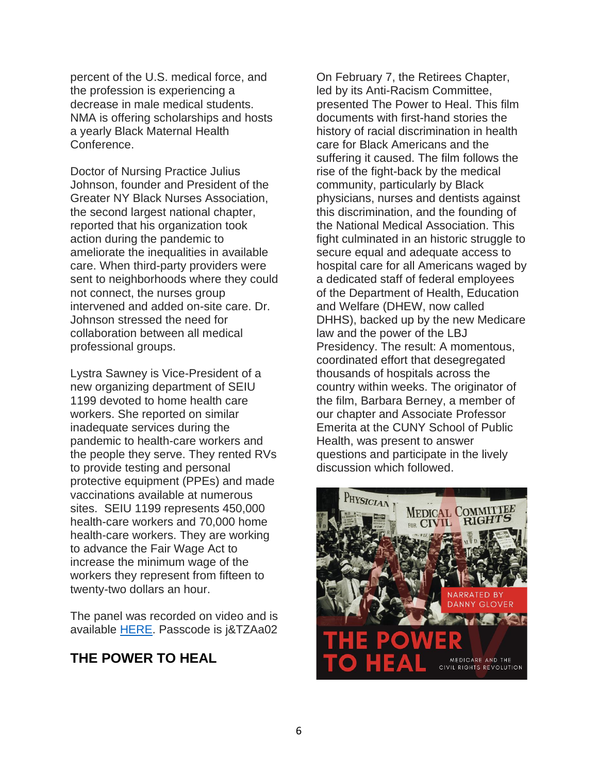percent of the U.S. medical force, and the profession is experiencing a decrease in male medical students. NMA is offering scholarships and hosts a yearly Black Maternal Health Conference.

Doctor of Nursing Practice Julius Johnson, founder and President of the Greater NY Black Nurses Association, the second largest national chapter, reported that his organization took action during the pandemic to ameliorate the inequalities in available care. When third-party providers were sent to neighborhoods where they could not connect, the nurses group intervened and added on-site care. Dr. Johnson stressed the need for collaboration between all medical professional groups.

Lystra Sawney is Vice-President of a new organizing department of SEIU 1199 devoted to home health care workers. She reported on similar inadequate services during the pandemic to health-care workers and the people they serve. They rented RVs to provide testing and personal protective equipment (PPEs) and made vaccinations available at numerous sites. SEIU 1199 represents 450,000 health-care workers and 70,000 home health-care workers. They are working to advance the Fair Wage Act to increase the minimum wage of the workers they represent from fifteen to twenty-two dollars an hour.

The panel was recorded on video and is available [HERE.](https://us02web.zoom.us/rec/share/aKpGuaQKTfgIExbmQfI1JTnrO_lVYlwDGhn-FiVCWO6a4qUEVcfeMLyvVnMcivpp.kalkMjlJIKri-4ds) Passcode is j&TZAa02

## **THE POWER TO HEAL**

On February 7, the Retirees Chapter, led by its Anti-Racism Committee, presented The Power to Heal. This film documents with first-hand stories the history of racial discrimination in health care for Black Americans and the suffering it caused. The film follows the rise of the fight-back by the medical community, particularly by Black physicians, nurses and dentists against this discrimination, and the founding of the National Medical Association. This fight culminated in an historic struggle to secure equal and adequate access to hospital care for all Americans waged by a dedicated staff of federal employees of the Department of Health, Education and Welfare (DHEW, now called DHHS), backed up by the new Medicare law and the power of the LBJ Presidency. The result: A momentous, coordinated effort that desegregated thousands of hospitals across the country within weeks. The originator of the film, Barbara Berney, a member of our chapter and Associate Professor Emerita at the CUNY School of Public Health, was present to answer questions and participate in the lively discussion which followed.

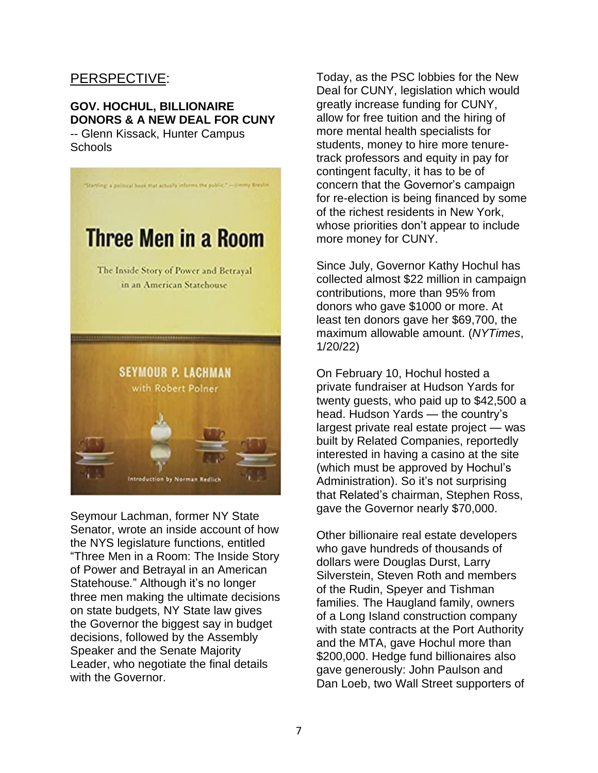## PERSPECTIVE:

#### **GOV. HOCHUL, BILLIONAIRE DONORS & A NEW DEAL FOR CUNY** -- Glenn Kissack, Hunter Campus Schools



Seymour Lachman, former NY State Senator, wrote an inside account of how the NYS legislature functions, entitled "Three Men in a Room: The Inside Story of Power and Betrayal in an American Statehouse*.*" Although it's no longer three men making the ultimate decisions on state budgets, NY State law gives the Governor the biggest say in budget decisions, followed by the Assembly Speaker and the Senate Majority Leader, who negotiate the final details with the Governor.

Today, as the PSC lobbies for the New Deal for CUNY, legislation which would greatly increase funding for CUNY, allow for free tuition and the hiring of more mental health specialists for students, money to hire more tenuretrack professors and equity in pay for contingent faculty, it has to be of concern that the Governor's campaign for re-election is being financed by some of the richest residents in New York, whose priorities don't appear to include more money for CUNY.

Since July, Governor Kathy Hochul has collected almost \$22 million in campaign contributions, more than 95% from donors who gave \$1000 or more. At least ten donors gave her \$69,700, the maximum allowable amount. (*NYTimes*, 1/20/22)

On February 10, Hochul hosted a private fundraiser at Hudson Yards for twenty guests, who paid up to \$42,500 a head. Hudson Yards — the country's largest private real estate project — was built by Related Companies, reportedly interested in having a casino at the site (which must be approved by Hochul's Administration). So it's not surprising that Related's chairman, Stephen Ross, gave the Governor nearly \$70,000.

Other billionaire real estate developers who gave hundreds of thousands of dollars were Douglas Durst, Larry Silverstein, Steven Roth and members of the Rudin, Speyer and Tishman families. The Haugland family, owners of a Long Island construction company with state contracts at the Port Authority and the MTA, gave Hochul more than \$200,000. Hedge fund billionaires also gave generously: John Paulson and Dan Loeb, two Wall Street supporters of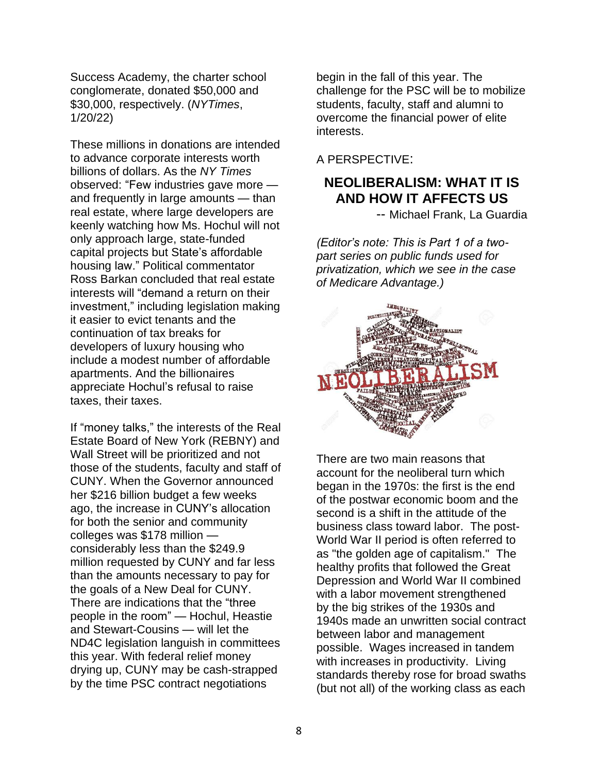Success Academy, the charter school conglomerate, donated \$50,000 and \$30,000, respectively. (*NYTimes*, 1/20/22)

These millions in donations are intended to advance corporate interests worth billions of dollars. As the *NY Times* observed: "Few industries gave more and frequently in large amounts — than real estate, where large developers are keenly watching how Ms. Hochul will not only approach large, state-funded capital projects but State's affordable housing law." Political commentator Ross Barkan concluded that real estate interests will "demand a return on their investment," including legislation making it easier to evict tenants and the continuation of tax breaks for developers of luxury housing who include a modest number of affordable apartments. And the billionaires appreciate Hochul's refusal to raise taxes, their taxes.

If "money talks," the interests of the Real Estate Board of New York (REBNY) and Wall Street will be prioritized and not those of the students, faculty and staff of CUNY. When the Governor announced her \$216 billion budget a few weeks ago, the increase in CUNY's allocation for both the senior and community colleges was \$178 million considerably less than the \$249.9 million requested by CUNY and far less than the amounts necessary to pay for the goals of a New Deal for CUNY. There are indications that the "three people in the room" — Hochul, Heastie and Stewart-Cousins — will let the ND4C legislation languish in committees this year. With federal relief money drying up, CUNY may be cash-strapped by the time PSC contract negotiations

begin in the fall of this year. The challenge for the PSC will be to mobilize students, faculty, staff and alumni to overcome the financial power of elite interests.

A PERSPECTIVE:

## **NEOLIBERALISM: WHAT IT IS AND HOW IT AFFECTS US**

-- Michael Frank, La Guardia

*(Editor's note: This is Part 1 of a twopart series on public funds used for privatization, which we see in the case of Medicare Advantage.)*



There are two main reasons that account for the neoliberal turn which began in the 1970s: the first is the end of the postwar economic boom and the second is a shift in the attitude of the business class toward labor. The post-World War II period is often referred to as "the golden age of capitalism." The healthy profits that followed the Great Depression and World War II combined with a labor movement strengthened by the big strikes of the 1930s and 1940s made an unwritten social contract between labor and management possible. Wages increased in tandem with increases in productivity. Living standards thereby rose for broad swaths (but not all) of the working class as each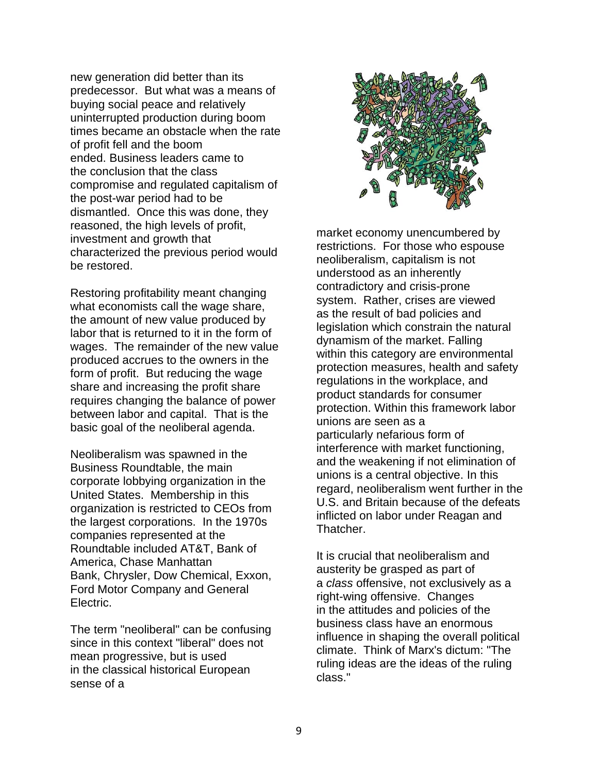new generation did better than its predecessor. But what was a means of buying social peace and relatively uninterrupted production during boom times became an obstacle when the rate of profit fell and the boom ended. Business leaders came to the conclusion that the class compromise and regulated capitalism of the post-war period had to be dismantled. Once this was done, they reasoned, the high levels of profit, investment and growth that characterized the previous period would be restored.

Restoring profitability meant changing what economists call the wage share, the amount of new value produced by labor that is returned to it in the form of wages. The remainder of the new value produced accrues to the owners in the form of profit. But reducing the wage share and increasing the profit share requires changing the balance of power between labor and capital. That is the basic goal of the neoliberal agenda.

Neoliberalism was spawned in the Business Roundtable, the main corporate lobbying organization in the United States. Membership in this organization is restricted to CEOs from the largest corporations. In the 1970s companies represented at the Roundtable included AT&T, Bank of America, Chase Manhattan Bank, Chrysler, Dow Chemical, Exxon, Ford Motor Company and General Electric.

The term "neoliberal" can be confusing since in this context "liberal" does not mean progressive, but is used in the classical historical European sense of a



market economy unencumbered by restrictions. For those who espouse neoliberalism, capitalism is not understood as an inherently contradictory and crisis-prone system. Rather, crises are viewed as the result of bad policies and legislation which constrain the natural dynamism of the market. Falling within this category are environmental protection measures, health and safety regulations in the workplace, and product standards for consumer protection. Within this framework labor unions are seen as a particularly nefarious form of interference with market functioning, and the weakening if not elimination of unions is a central objective. In this regard, neoliberalism went further in the U.S. and Britain because of the defeats inflicted on labor under Reagan and Thatcher.

It is crucial that neoliberalism and austerity be grasped as part of a *class* offensive, not exclusively as a right-wing offensive. Changes in the attitudes and policies of the business class have an enormous influence in shaping the overall political climate. Think of Marx's dictum: "The ruling ideas are the ideas of the ruling class."